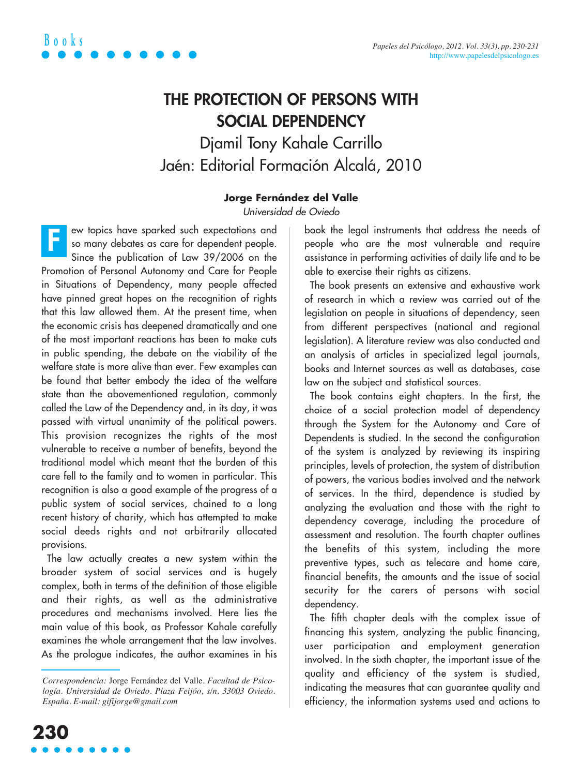

## **THE PROTECTION OF PERSONS WITH SOCIAL DEPENDENCY** Djamil Tony Kahale Carrillo Jaén: Editorial Formación Alcalá, 2010

## **Jorge Fernández del Valle**

Universidad de Oviedo

ew topics have sparked such expectations and so many debates as care for dependent people. Since the publication of Law 39/2006 on the Promotion of Personal Autonomy and Care for People in Situations of Dependency, many people affected have pinned great hopes on the recognition of rights that this law allowed them. At the present time, when the economic crisis has deepened dramatically and one of the most important reactions has been to make cuts in public spending, the debate on the viability of the welfare state is more alive than ever. Few examples can be found that better embody the idea of the welfare state than the abovementioned regulation, commonly called the Law of the Dependency and, in its day, it was passed with virtual unanimity of the political powers. This provision recognizes the rights of the most vulnerable to receive a number of benefits, beyond the traditional model which meant that the burden of this care fell to the family and to women in particular. This recognition is also a good example of the progress of a public system of social services, chained to a long recent history of charity, which has attempted to make social deeds rights and not arbitrarily allocated provisions. **F**

The law actually creates a new system within the broader system of social services and is hugely complex, both in terms of the definition of those eligible and their rights, as well as the administrative procedures and mechanisms involved. Here lies the main value of this book, as Professor Kahale carefully examines the whole arrangement that the law involves. As the prologue indicates, the author examines in his

book the legal instruments that address the needs of people who are the most vulnerable and require assistance in performing activities of daily life and to be able to exercise their rights as citizens.

The book presents an extensive and exhaustive work of research in which a review was carried out of the legislation on people in situations of dependency, seen from different perspectives (national and regional legislation). A literature review was also conducted and an analysis of articles in specialized legal journals, books and Internet sources as well as databases, case law on the subject and statistical sources.

The book contains eight chapters. In the first, the choice of a social protection model of dependency through the System for the Autonomy and Care of Dependents is studied. In the second the configuration of the system is analyzed by reviewing its inspiring principles, levels of protection, the system of distribution of powers, the various bodies involved and the network of services. In the third, dependence is studied by analyzing the evaluation and those with the right to dependency coverage, including the procedure of assessment and resolution. The fourth chapter outlines the benefits of this system, including the more preventive types, such as telecare and home care, financial benefits, the amounts and the issue of social security for the carers of persons with social dependency.

The fifth chapter deals with the complex issue of financing this system, analyzing the public financing, user participation and employment generation involved. In the sixth chapter, the important issue of the quality and efficiency of the system is studied, indicating the measures that can guarantee quality and efficiency, the information systems used and actions to

*Correspondencia:* Jorge Fernández del Valle. *Facultad de Psicología. Universidad de Oviedo. Plaza Feijóo, s/n. 33003 Oviedo. España. E-mail: gifijorge@gmail.com*